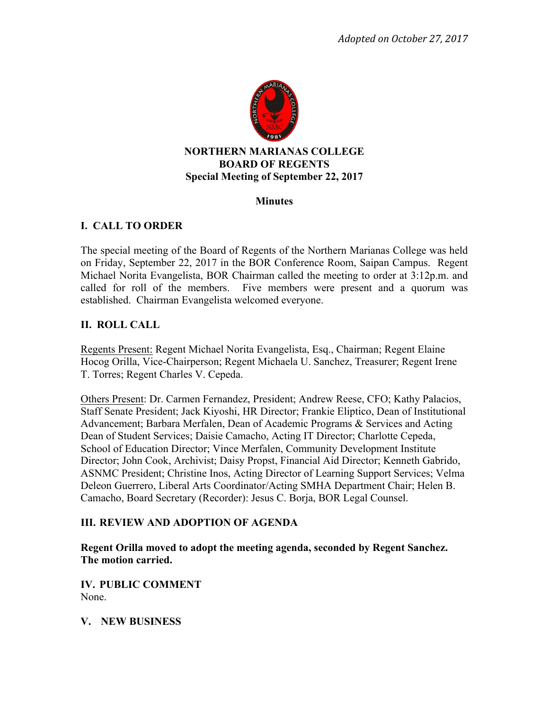

### **Minutes**

# **I. CALL TO ORDER**

The special meeting of the Board of Regents of the Northern Marianas College was held on Friday, September 22, 2017 in the BOR Conference Room, Saipan Campus. Regent Michael Norita Evangelista, BOR Chairman called the meeting to order at 3:12p.m. and called for roll of the members. Five members were present and a quorum was established. Chairman Evangelista welcomed everyone.

# **II. ROLL CALL**

Regents Present: Regent Michael Norita Evangelista, Esq., Chairman; Regent Elaine Hocog Orilla, Vice-Chairperson; Regent Michaela U. Sanchez, Treasurer; Regent Irene T. Torres; Regent Charles V. Cepeda.

Others Present: Dr. Carmen Fernandez, President; Andrew Reese, CFO; Kathy Palacios, Staff Senate President; Jack Kiyoshi, HR Director; Frankie Eliptico, Dean of Institutional Advancement; Barbara Merfalen, Dean of Academic Programs & Services and Acting Dean of Student Services; Daisie Camacho, Acting IT Director; Charlotte Cepeda, School of Education Director; Vince Merfalen, Community Development Institute Director; John Cook, Archivist; Daisy Propst, Financial Aid Director; Kenneth Gabrido, ASNMC President; Christine Inos, Acting Director of Learning Support Services; Velma Deleon Guerrero, Liberal Arts Coordinator/Acting SMHA Department Chair; Helen B. Camacho, Board Secretary (Recorder): Jesus C. Borja, BOR Legal Counsel.

# **III. REVIEW AND ADOPTION OF AGENDA**

**Regent Orilla moved to adopt the meeting agenda, seconded by Regent Sanchez. The motion carried.** 

**IV. PUBLIC COMMENT**  None.

#### **V. NEW BUSINESS**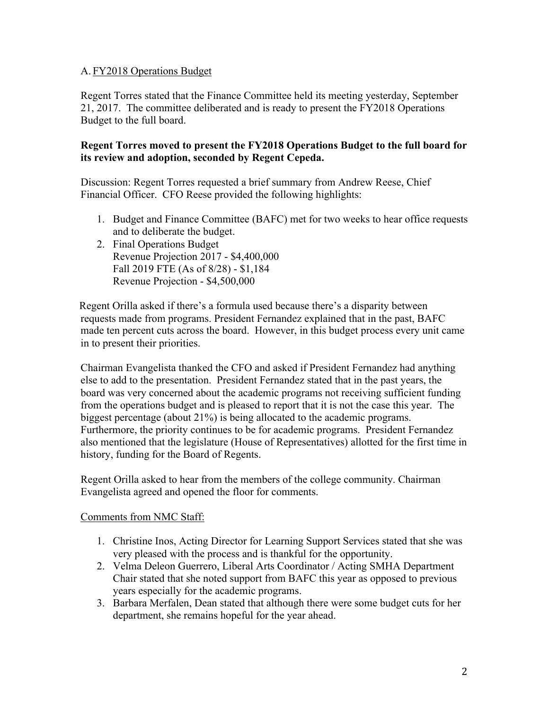### A. FY2018 Operations Budget

Regent Torres stated that the Finance Committee held its meeting yesterday, September 21, 2017. The committee deliberated and is ready to present the FY2018 Operations Budget to the full board.

### **Regent Torres moved to present the FY2018 Operations Budget to the full board for its review and adoption, seconded by Regent Cepeda.**

Discussion: Regent Torres requested a brief summary from Andrew Reese, Chief Financial Officer. CFO Reese provided the following highlights:

- 1. Budget and Finance Committee (BAFC) met for two weeks to hear office requests and to deliberate the budget.
- 2. Final Operations Budget Revenue Projection 2017 - \$4,400,000 Fall 2019 FTE (As of 8/28) - \$1,184 Revenue Projection - \$4,500,000

Regent Orilla asked if there's a formula used because there's a disparity between requests made from programs. President Fernandez explained that in the past, BAFC made ten percent cuts across the board. However, in this budget process every unit came in to present their priorities.

Chairman Evangelista thanked the CFO and asked if President Fernandez had anything else to add to the presentation. President Fernandez stated that in the past years, the board was very concerned about the academic programs not receiving sufficient funding from the operations budget and is pleased to report that it is not the case this year. The biggest percentage (about 21%) is being allocated to the academic programs. Furthermore, the priority continues to be for academic programs. President Fernandez also mentioned that the legislature (House of Representatives) allotted for the first time in history, funding for the Board of Regents.

Regent Orilla asked to hear from the members of the college community. Chairman Evangelista agreed and opened the floor for comments.

# Comments from NMC Staff:

- 1. Christine Inos, Acting Director for Learning Support Services stated that she was very pleased with the process and is thankful for the opportunity.
- 2. Velma Deleon Guerrero, Liberal Arts Coordinator / Acting SMHA Department Chair stated that she noted support from BAFC this year as opposed to previous years especially for the academic programs.
- 3. Barbara Merfalen, Dean stated that although there were some budget cuts for her department, she remains hopeful for the year ahead.